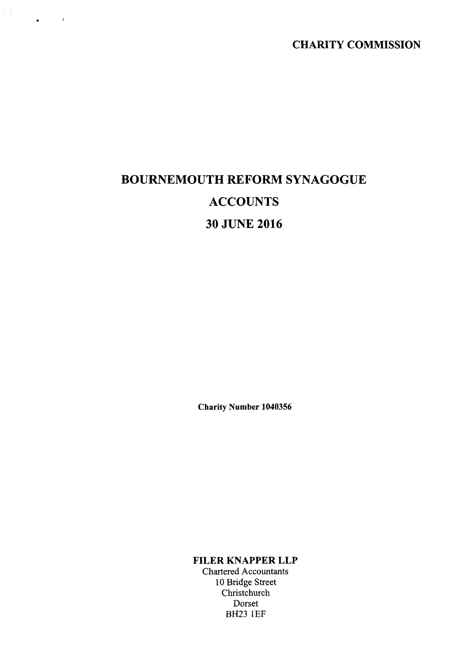CHARITY COMMISSION

# BOURNEMOUTH REFORM SYNAGOGUE **ACCOUNTS** 30 JUNE 2016

主主

 $\bullet$ 

 $\mathcal{L}^{\mathcal{L}}$ 

Charity Number 1040356

FILER KNAPPER LLP

Chartered Accountants 10 Bridge Street Christchurch Dorset BH23 1EF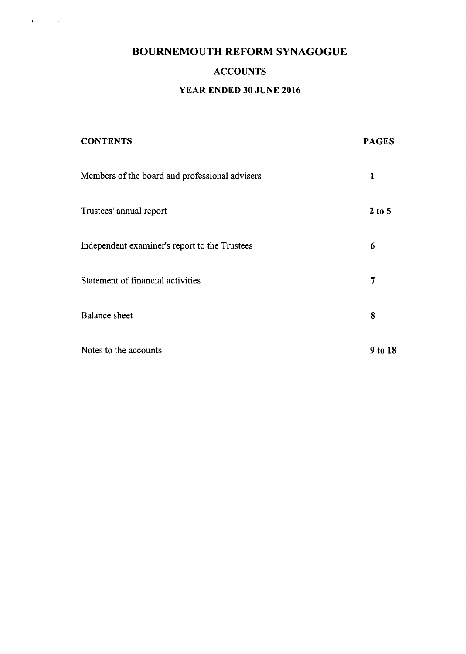$\mathbf{a}^{\dagger}$  and  $\mathbf{a}^{\dagger}$ 

# ACCOUNTS

# YEAR ENDED 30 JUNE 2016

| <b>CONTENTS</b>                                | <b>PAGES</b> |
|------------------------------------------------|--------------|
| Members of the board and professional advisers | 1            |
| Trustees' annual report                        | $2$ to 5     |
| Independent examiner's report to the Trustees  | 6            |
| Statement of financial activities              | 7            |
| <b>Balance</b> sheet                           | 8            |
| Notes to the accounts                          | 9 to 18      |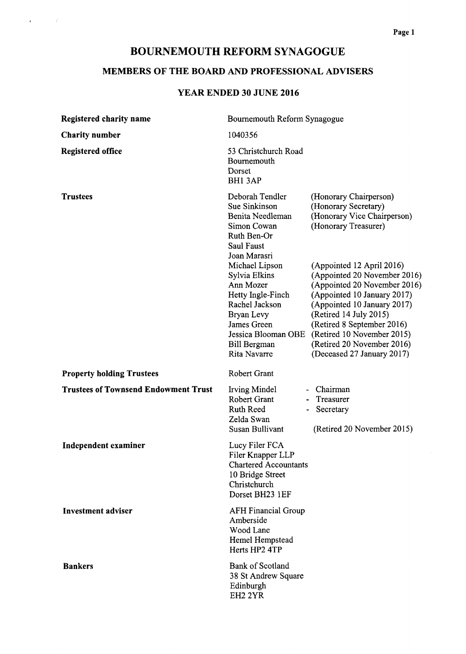$\mathbf{r} = \left( \begin{smallmatrix} 1 & 0 \\ 0 & 1 \end{smallmatrix} \right)$ 

# MEMBERS OF THE BOARD AND PROFESSIONAL ADVISERS

# YEAR ENDED 30 JUNE 2016

| Registered charity name                     | Bournemouth Reform Synagogue                                                                                                                                                          |                                                                                                                                                                                                                                   |  |
|---------------------------------------------|---------------------------------------------------------------------------------------------------------------------------------------------------------------------------------------|-----------------------------------------------------------------------------------------------------------------------------------------------------------------------------------------------------------------------------------|--|
| <b>Charity number</b>                       | 1040356                                                                                                                                                                               |                                                                                                                                                                                                                                   |  |
| <b>Registered office</b>                    | 53 Christchurch Road<br>Bournemouth<br>Dorset<br>BH1 3AP                                                                                                                              |                                                                                                                                                                                                                                   |  |
| <b>Trustees</b>                             | Deborah Tendler<br>Sue Sinkinson<br>Benita Needleman<br>Simon Cowan<br>Ruth Ben-Or<br>Saul Faust<br>Joan Marasri<br>Michael Lipson<br>Sylvia Elkins<br>Ann Mozer<br>Hetty Ingle-Finch | (Honorary Chairperson)<br>(Honorary Secretary)<br>(Honorary Vice Chairperson)<br>(Honorary Treasurer)<br>(Appointed 12 April 2016)<br>(Appointed 20 November 2016)<br>(Appointed 20 November 2016)<br>(Appointed 10 January 2017) |  |
|                                             | Rachel Jackson<br>Bryan Levy<br>James Green<br>Jessica Blooman OBE<br><b>Bill Bergman</b><br>Rita Navarre                                                                             | (Appointed 10 January 2017)<br>(Retired 14 July 2015)<br>(Retired 8 September 2016)<br>(Retired 10 November 2015)<br>(Retired 20 November 2016)<br>(Deceased 27 January 2017)                                                     |  |
| <b>Property holding Trustees</b>            | Robert Grant                                                                                                                                                                          |                                                                                                                                                                                                                                   |  |
| <b>Trustees of Townsend Endowment Trust</b> | Irving Mindel<br><b>Robert Grant</b><br><b>Ruth Reed</b><br>Zelda Swan<br>Susan Bullivant                                                                                             | - Chairman<br>- Treasurer<br>Secretary<br>(Retired 20 November 2015)                                                                                                                                                              |  |
| <b>Independent examiner</b>                 | Lucy Filer FCA<br>Filer Knapper LLP<br><b>Chartered Accountants</b><br>10 Bridge Street<br>Christchurch<br>Dorset BH23 1EF                                                            |                                                                                                                                                                                                                                   |  |
| <b>Investment adviser</b>                   | <b>AFH Financial Group</b><br>Amberside<br>Wood Lane<br>Hemel Hempstead<br>Herts HP2 4TP                                                                                              |                                                                                                                                                                                                                                   |  |
| <b>Bankers</b>                              | <b>Bank of Scotland</b><br>38 St Andrew Square<br>Edinburgh<br>EH <sub>2</sub> 2YR                                                                                                    |                                                                                                                                                                                                                                   |  |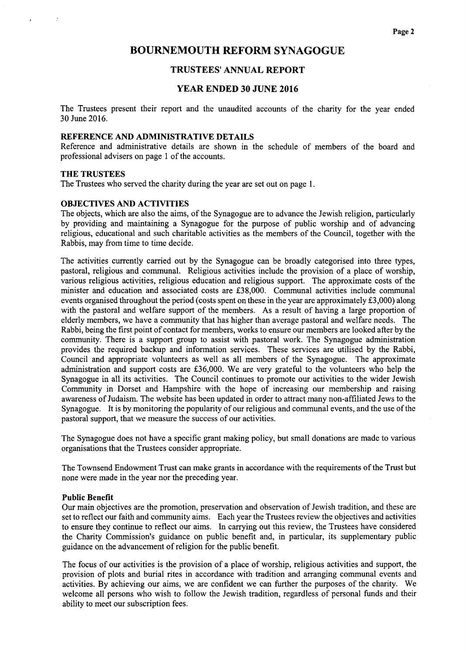### TRUSTEES' ANNUAL REPORT

#### YEAR ENDED 30 JUNE 2016

The Trustees present their report and the unaudited accounts of the charity for the year ended 30 June 2016.

#### REFERENCE AND ADMINISTRATIVE DETAILS

Reference and administrative details are shown in the schedule of members of the board and professional advisers on page <sup>1</sup> of the accounts.

#### THE TRUSTEES

The Trustees who served the charity during the year are set out on page l.

#### OBJECTIVES AND ACTIVITIES

The objects, which are also the aims, of the Synagogue are to advance the Jewish religion, particularly by providing and maintaining a Synagogue for the purpose of public worship and of advancing religious, educational and such charitable activities as the members of the Council, together with the Rabbis, may from time to time decide.

The activities currently carried out by the Synagogue can be broadly categorised into three types, pastoral, religious and communal. Religious activities include the provision of a place of worship, various religious activities, religious education and religious support. The approximate costs of the minister and education and associated costs are f38,000. Communal activities include communal events organised throughout the period (costs spent on these in the year are approximately  $£3,000$ ) along with the pastoral and welfare support of the members. As a result of having a large proportion of elderly members, we have a community that has higher than average pastoral and welfare needs. The Rabbi, being the first point of contact for members, works to ensure our members are looked after by the community. There is a support group to assist with pastoral work. The Synagogue administration provides the required backup and information services. These services are utilised by the Rabbi, Council and appropriate volunteers as well as all members of the Synagogue. The approximate administration and support costs are f36,000. We are very grateful to the volunteers who help the Synagogue in all its activities. The Council continues to promote our activities to the wider Jewish Community in Dorset and Hampshire with the hope of increasing our membership and raising awareness ofJudaism. The website has been updated in order to attract many non-affiliated Jews to the Synagogue. It is by monitoring the popularity of our religious and communal events, and the use ofthe pastoral support, that we measure the success of our activities.

The Synagogue does not have a specific grant making policy, but small donations are made to various organisations that the Trustees consider appropriate.

The Townsend Endowment Trust can make grants in accordance with the requirements ofthe Trust but none were made in the year nor the preceding year.

#### Public Benefit

Our main objectives are the promotion, preservation and observation of Jewish tradition, and these are set to reflect our faith and community aims. Each year the Trustees review the objectives and activities to ensure they continue to reflect our aims. In carrying out this review, the Trustees have considered the Charity Commission's guidance on public benefit and, in particular, its supplementary public guidance on the advancement of religion for the public benefit.

The focus of our activities is the provision of a place of worship, religious activities and support, the provision of plots and burial rites in accordance with tradition and arranging communal events and activities. By achieving our aims, we are confident we can further the purposes of the charity. We welcome all persons who wish to follow the Jewish tradition, regardless of personal funds and their ability to meet our subscription fees.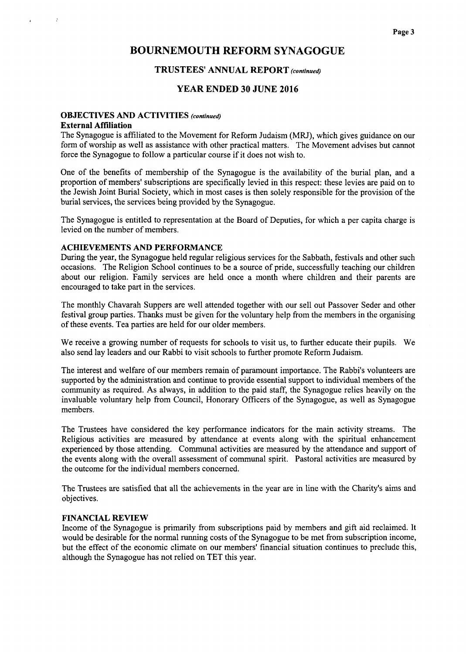#### TRUSTEES' ANNUAL REPORT (continued)

### YEAR ENDED 30 JUNE 2016

# OBJECTIVES AND ACTIVITIES (continued)

#### External Affiliation

 $\cdot$ 

The Synagogue is affiliated to the Movement for Reform Judaism (MRJ), which gives guidance on our form of worship as well as assistance with other practical matters. The Movement advises but cannot force the Synagogue to follow a particular course if it does not wish to.

One of the benefits of membership of the Synagogue is the availability of the burial plan, and a proportion of members' subscriptions are specifically levied in this respect: these levies are paid on to the Jewish Joint Burial Society, which in most cases is then solely responsible for the provision of the burial services, the services being provided by the Synagogue.

The Synagogue is entitled to representation at the Board of Deputies, for which a per capita charge is levied on the number of members.

#### ACHIEVEMENTS AND PERFORMANCE

During the year, the Synagogue held regular religious services for the Sabbath, festivals and other such occasions. The Religion School continues to be a source of pride, successfully teaching our children about our religion. Family services are held once a month where children and their parents are encouraged to take part in the services.

The monthly Chavarah Suppers are well attended together with our sell out Passover Seder and other festival group parties. Thanks must be given for the voluntary help from the members in the organising of these events. Tea parties are held for our older members.

We receive a growing number of requests for schools to visit us, to further educate their pupils. We also send lay leaders and our Rabbi to visit schools to further promote Reform Judaism.

The interest and welfare of our members remain of paramount importance. The Rabbi's volunteers are supported by the administration and continue to provide essential support to individual members of the community as required. As always, in addition to the paid staff, the Synagogue relies heavily on the invaluable voluntary help from Council, Honorary Officers of the Synagogue, as well as Synagogue members.

The Trustees have considered the key performance indicators for the main activity streams. The Religious activities are measured by attendance at events along with the spiritual enhancement experienced by those attending. Communal activities are measured by the attendance and support of the events along with the overall assessment of communal spirit. Pastoral activities are measured by the outcome for the individual members concerned.

The Trustees are satisfied that all the achievements in the year are in line with the Charity's aims and objectives.

#### FINANCIAL REVIEW

Income of the Synagogue is primarily from subscriptions paid by members and gift aid reclaimed. It would be desirable for the normal running costs of the Synagogue to be met from subscription income, but the effect of the economic climate on our members' financial situation continues to preclude this, although the Synagogue has not relied on TET this year.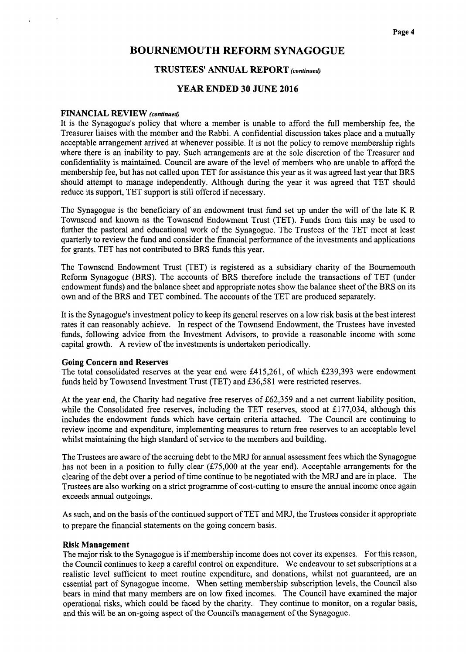#### TRUSTEES' ANNUAL REPORT (continued)

#### YEAR ENDED 30 JUNE 2016

#### FINANCIAL REVIEW (continued)

It is the Synagogue's policy that where a member is unable to afford the full membership fee, the Treasurer liaises with the member and the Rabbi. A confidential discussion takes place and a mutually acceptable arrangement arrived at whenever possible. It is not the policy to remove membership rights where there is an inability to pay. Such arrangements are at the sole discretion of the Treasurer and confidentiality is maintained. Council are aware of the level of members who are unable to afford the membership fee, but has not called upon TET for assistance this year as it was agreed last year that BRS should attempt to manage independently. Although during the year it was agreed that TET should reduce its support, TET support is still offered if necessary.

The Synagogue is the beneficiary of an endowment trust fund set up under the will of the late K R Townsend and known as the Townsend Endowment Trust (TET). Funds from this may be used to further the pastoral and educational work of the Synagogue. The Trustees of the TET meet at least quarterly to review the fund and consider the financial performance ofthe investments and applications for grants. TET has not contributed to BRS funds this year.

The Townsend Endowment Trust (TET) is registered as a subsidiary charity of the Bournemouth Reform Synagogue (BRS). The accounts of BRS therefore include the transactions of TET (under endowment funds) and the balance sheet and appropriate notes show the balance sheet ofthe BRS on its own and of the BRS and TET combined. The accounts of the TET are produced separately.

It is the Synagogue's investment policy to keep its general reserves on a low risk basis at the best interest rates it can reasonably achieve. In respect of the Townsend Endowment, the Trustees have invested funds, following advice from the Investment Advisors, to provide a reasonable income with some capital growth. A review of the investments is undertaken periodically.

#### Going Concern and Reserves

The total consolidated reserves at the year end were  $£415,261$ , of which £239,393 were endowment funds held by Townsend Investment Trust (TET) and f36,581 were restricted reserves.

At the year end, the Charity had negative free reserves of  $£62,359$  and a net current liability position, while the Consolidated free reserves, including the TET reserves, stood at £177,034, although this includes the endowment funds which have certain criteria attached. The Council are continuing to review income and expenditure, implementing measures to return free reserves to an acceptable level whilst maintaining the high standard of service to the members and building.

The Trustees are aware of the accruing debt to the MRJ for annual assessment fees which the Synagogue has not been in a position to fully clear  $(\text{\textsterling}75,000$  at the year end). Acceptable arrangements for the clearing of the debt over a period of time continue to be negotiated with the MRJ and are in place. The Trustees are also working on a strict programme of cost-cutting to ensure the annual income once again exceeds annual outgoings.

As such, and on the basis of the continued support of TET and MRJ, the Trustees consider it appropriate to prepare the financial statements on the going concern basis.

#### Risk Management

The major risk to the Synagogue is if membership income does not cover its expenses. For this reason, the Council continues to keep a careful control on expenditure. We endeavour to set subscriptions at a realistic level sufficient to meet routine expenditure, and donations, whilst not guaranteed, are an essential part of Synagogue income. When setting membership subscription levels, the Council also bears in mind that many members are on low fixed incomes. The Council have examined the major operational risks, which could be faced by the charity. They continue to monitor, on a regular basis, and this will be an on-going aspect of the Council's management of the Synagogue.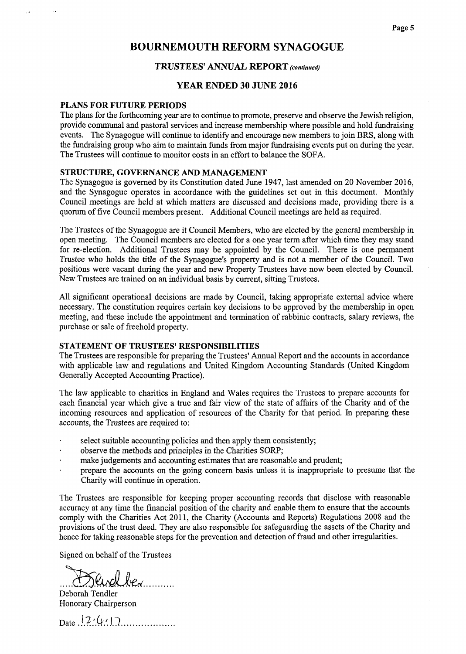#### TRUSTEES' ANNUAL REPORT (continued)

#### YEAR ENDED 30 JUNE 2016

#### PLANS FOR FUTURE PERIODS

The plans for the forthcoming year are to continue to promote, preserve and observe the Jewish religion, provide communal and pastoral services and increase membership where possible and hold fundraising events. The Synagogue will continue to identify and encourage new members to join BRS, along with the fundraising group who aim to maintain funds from major fundraising events put on during the year. The Trustees will continue to monitor costs in an effort to balance the SOFA.

#### STRUCTURE, GOVERNANCE AND MANAGEMENT

The Synagogue is governed by its Constitution dated June 1947, last amended on 20 November 2016, and the Synagogue operates in accordance with the guidelines set out in this document. Monthly Council meetings are held at which matters are discussed and decisions made, providing there is a quorum of five Council members present. Additional Council meetings are held as required.

The Trustees of the Synagogue are it Council Members, who are elected by the general membership in open meeting. The Council members are elected for a one year term after which time they may stand for re-election. Additional Trustees may be appointed by the Council. There is one permanent Trustee who holds the title of the Synagogue's property and is not a member of the Council. Two positions were vacant during the year and new Property Trustees have now been elected by Council. New Trustees are trained on an individual basis by current, sitting Trustees.

All significant operational decisions are made by Council, taking appropriate external advice where necessary. The constitution requires certain key decisions to be approved by the membership in open meeting, and these include the appointment and termination of rabbinic contracts, salary reviews, the purchase or sale of freehold property.

#### STATEMENT OF TRUSTEES' RESPONSIBILITIES

The Trustees are responsible for preparing the Trustees' Annual Report and the accounts in accordance with applicable law and regulations and United Kingdom Accounting Standards (United Kingdom Generally Accepted Accounting Practice).

The law applicable to charities in England and Wales requires the Trustees to prepare accounts for each financial year which give a true and fair view of the state of affairs of the Charity and of the incoming resources and application of resources of the Charity for that period. In preparing these accounts, the Trustees are required to:

- select suitable accounting policies and then apply them consistently;
- observe the methods and principles in the Charities SORP;
- make judgements and accounting estimates that are reasonable and prudent;
- prepare the accounts on the going concern basis unless it is inappropriate to presume that the Charity will continue in operation.

The Trustees are responsible for keeping proper accounting records that disclose with reasonable accuracy at any time the financial position of the charity and enable them to ensure that the accounts comply with the Charities Act 2011, the Charity (Accounts and Reports) Regulations 2008 and the provisions of the trust deed. They are also responsible for safeguarding the assets of the Charity and hence for taking reasonable steps for the prevention and detection of fraud and other irregularities.

Signed on behalf of the Trustees

urdbex.........

Deborah Tendler Honorary Chairperson

Date  $\frac{1}{2}$ ' $\frac{(1, 1)}{2}$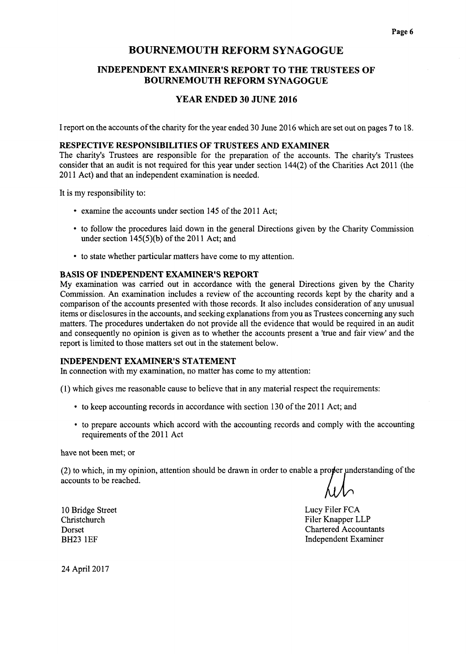# INDEPENDENT EXAMINER'S REPORT TO THE TRUSTEES OF BOURNEMOUTH REFORM SYNAGOGUE

#### YEAR ENDED 30 JUNE 2016

I report on the accounts of the charity for the year ended 30 June 2016 which are set out on pages 7 to 18.

#### RESPECTIVE RESPONSIBILITIES OF TRUSTEES AND EXAMINER

The charity's Trustees are responsible for the preparation of the accounts. The charity's Trustees consider that an audit is not required for this year under section 144(2) of the Charities Act 2011 (the 2011 Act) and that an independent examination is needed.

It is my responsibility to:

- examine the accounts under section 145 of the 2011 Act;
- to follow the procedures laid down in the general Directions given by the Charity Commissic under section  $145(5)(b)$  of the 2011 Act; and
- ~ to state whether particular matters have come to my attention.

#### BASIS OF INDEPENDENT EXAMINER'S REPORT

My examination was carried out in accordance with the general Directions given by the Charity Commission. An examination includes a review of the accounting records kept by the charity and a comparison of the accounts presented with those records. It also includes consideration of any unusual items or disclosures in the accounts, and seeking explanations from you as Trustees concerning any such matters. The procedures undertaken do not provide all the evidence that would be required in an audit and consequently no opinion is given as to whether the accounts present a 'true and fair view' and the report is limited to those matters set out in the statement below.

#### INDEPENDENT EXAMINER'S STATEMENT

In connection with my examination, no matter has come to my attention:

(1)which gives me reasonable cause to believe that in any material respect the requirements:

- to keep accounting records in accordance with section 130 of the 2011 Act; and
- ~ to prepare accounts which accord with the accounting records and comply with the accounting requirements of the 2011 Act

have not been met; or

 $(2)$  to which, in my opinion, attention should be drawn in order to enable a proper understanding of the accounts to be reached.

Lucy Filer FCA Filer Knapper LLP Chartered Accountants Independent Examiner

10 Bridge Street Christchurch Dorset BH23 1EF

24 April 2017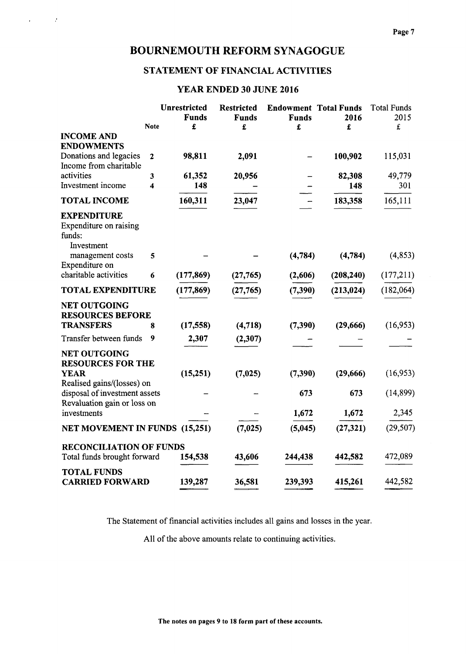$\kappa = 1/2$  ,  $\frac{1}{2}$ 

# STATEMENT OF FINANCIAL ACTIVITIES

# YEAR ENDED 30 JUNE 2016

|                                                                                            |                | <b>Unrestricted</b><br><b>Funds</b> | <b>Restricted</b><br><b>Funds</b> | <b>Endowment Total Funds</b><br><b>Funds</b> | 2016       | <b>Total Funds</b><br>2015 |
|--------------------------------------------------------------------------------------------|----------------|-------------------------------------|-----------------------------------|----------------------------------------------|------------|----------------------------|
|                                                                                            | <b>Note</b>    | £                                   | £                                 | £                                            | £          | $\pounds$                  |
| <b>INCOME AND</b><br><b>ENDOWMENTS</b>                                                     |                |                                     |                                   |                                              |            |                            |
| Donations and legacies<br>Income from charitable                                           | $\overline{2}$ | 98,811                              | 2,091                             |                                              | 100,902    | 115,031                    |
| activities                                                                                 | 3              | 61,352                              | 20,956                            |                                              | 82,308     | 49,779                     |
| Investment income                                                                          | 4              | 148                                 |                                   |                                              | 148        | 301                        |
| <b>TOTAL INCOME</b>                                                                        |                | 160,311                             | 23,047                            |                                              | 183,358    | 165,111                    |
| <b>EXPENDITURE</b><br>Expenditure on raising<br>funds:<br>Investment                       |                |                                     |                                   |                                              |            |                            |
| management costs<br>Expenditure on                                                         | 5              |                                     |                                   | (4,784)                                      | (4,784)    | (4, 853)                   |
| charitable activities                                                                      | 6              | (177, 869)                          | (27, 765)                         | (2,606)                                      | (208, 240) | (177, 211)                 |
| <b>TOTAL EXPENDITURE</b>                                                                   |                | (177, 869)                          | (27, 765)                         | (7, 390)                                     | (213, 024) | (182,064)                  |
| <b>NET OUTGOING</b><br><b>RESOURCES BEFORE</b>                                             |                |                                     |                                   |                                              |            |                            |
| <b>TRANSFERS</b>                                                                           | 8              | (17, 558)                           | (4,718)                           | (7, 390)                                     | (29,666)   | (16, 953)                  |
| Transfer between funds                                                                     | 9              | 2,307                               | (2,307)                           |                                              |            |                            |
| <b>NET OUTGOING</b><br><b>RESOURCES FOR THE</b>                                            |                |                                     |                                   |                                              |            |                            |
| <b>YEAR</b>                                                                                |                | (15,251)                            | (7, 025)                          | (7,390)                                      | (29,666)   | (16,953)                   |
| Realised gains/(losses) on<br>disposal of investment assets<br>Revaluation gain or loss on |                |                                     |                                   | 673                                          | 673        | (14, 899)                  |
| investments                                                                                |                |                                     |                                   | 1,672                                        | 1,672      | 2,345                      |
| <b>NET MOVEMENT IN FUNDS (15,251)</b>                                                      |                |                                     | (7,025)                           | (5,045)                                      | (27, 321)  | (29, 507)                  |
| <b>RECONCILIATION OF FUNDS</b>                                                             |                |                                     |                                   |                                              |            |                            |
| Total funds brought forward                                                                |                | 154,538                             | 43,606                            | 244,438                                      | 442,582    | 472,089                    |
| <b>TOTAL FUNDS</b><br><b>CARRIED FORWARD</b>                                               |                | 139,287                             | 36,581                            | 239,393                                      | 415,261    | 442,582                    |

The Statement of financial activities includes all gains and losses in the year.

All of the above amounts relate to continuing activities.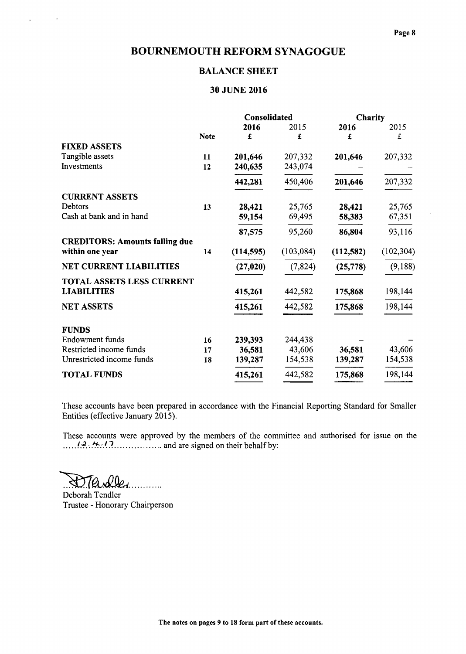# BALANCE SHEET

# 30 JUNE 2016

|                                       |             | Consolidated |            | Charity   |            |
|---------------------------------------|-------------|--------------|------------|-----------|------------|
|                                       |             | 2016         | 2015       | 2016      | 2015       |
|                                       | <b>Note</b> | £            | £          | £         | £          |
| <b>FIXED ASSETS</b>                   |             |              |            |           |            |
| Tangible assets                       | 11          | 201,646      | 207,332    | 201,646   | 207,332    |
| Investments                           | 12          | 240,635      | 243,074    |           |            |
|                                       |             | 442,281      | 450,406    | 201,646   | 207,332    |
| <b>CURRENT ASSETS</b>                 |             |              |            |           |            |
| Debtors                               | 13          | 28,421       | 25,765     | 28,421    | 25,765     |
| Cash at bank and in hand              |             | 59,154       | 69,495     | 58,383    | 67,351     |
|                                       |             | 87,575       | 95,260     | 86,804    | 93,116     |
| <b>CREDITORS: Amounts falling due</b> |             |              |            |           |            |
| within one year                       | 14          | (114, 595)   | (103, 084) | (112,582) | (102, 304) |
| <b>NET CURRENT LIABILITIES</b>        |             | (27, 020)    | (7, 824)   | (25, 778) | (9,188)    |
| <b>TOTAL ASSETS LESS CURRENT</b>      |             |              |            |           |            |
| <b>LIABILITIES</b>                    |             | 415,261      | 442,582    | 175,868   | 198,144    |
| <b>NET ASSETS</b>                     |             | 415,261      | 442,582    | 175,868   | 198,144    |
| <b>FUNDS</b>                          |             |              |            |           |            |
| <b>Endowment</b> funds                | 16          | 239,393      | 244,438    |           |            |
| Restricted income funds               | 17          | 36,581       | 43,606     | 36,581    | 43,606     |
| Unrestricted income funds             | 18          | 139,287      | 154,538    | 139,287   | 154,538    |
| <b>TOTAL FUNDS</b>                    |             | 415,261      | 442,582    | 175,868   | 198,144    |

These accounts have been prepared in accordance with the Financial Reporting Standard for Smaller Entities (effective January 2015).

These accounts were approved by the members of the committee and authorised for issue on the  $(a, 4, 17)$  and are signed on their behalf by:

DTardler

 $\ddot{\phantom{1}}$ 

Deborah Tendler Trustee - Honorary Chairperson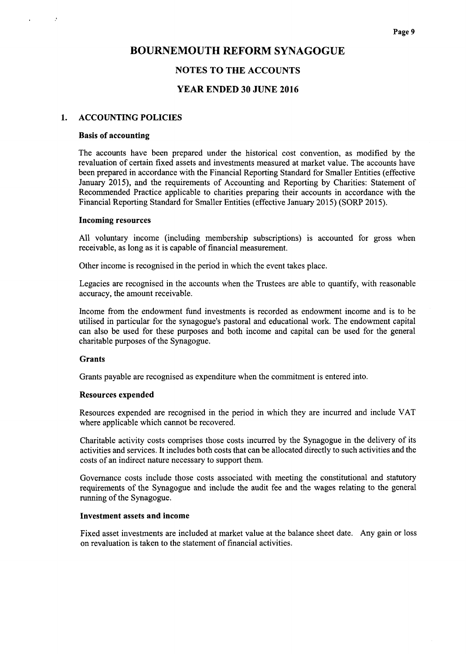### NOTES TO THE ACCOUNTS

#### YEAR ENDED 30 JUNE 2016

#### 1. ACCOUNTING POLICIES

#### Basis of accounting

 $\mathcal{L}$ 

The accounts have been prepared under the historical cost convention, as modified by the revaluation of certain fixed assets and investments measured at market value. The accounts have been prepared in accordance with the Financial Reporting Standard for Smaller Entities (effective January 2015), and the requirements of Accounting and Reporting by Charities: Statement of Recommended Practice applicable to charities preparing their accounts in accordance with the Financial Reporting Standard for Smaller Entities (effective January 2015) (SORP 2015).

#### Incoming resources

All voluntary income (including membership subscriptions) is accounted for gross when receivable, as long as it is capable of financial measurement.

Other income is recognised in the period in which the event takes place.

Legacies are recognised in the accounts when the Trustees are able to quantify, with reasonable accuracy, the amount receivable.

Income from the endowment fund investments is recorded as endowment income and is to be utilised in particular for the synagogue's pastoral and educational work. The endowment capital can also be used for these purposes and both income and capital can be used for the general charitable purposes of the Synagogue.

#### Grants

Grants payable are recognised as expenditure when the commitment is entered into.

#### Resources expended

Resources expended are recognised in the period in which they are incurred and include VAT where applicable which cannot be recovered.

Charitable activity costs comprises those costs incurred by the Synagogue in the delivery of its activities and services. It includes both costs that can be allocated directly to such activities and the costs of an indirect nature necessary to support them.

Governance costs include those costs associated with meeting the constitutional and statutory requirements of the Synagogue and include the audit fee and the wages relating to the general running of the Synagogue.

#### Investment assets and income

Fixed asset investments are included at market value at the balance sheet date. Any gain or loss on revaluation is taken to the statement of financial activities.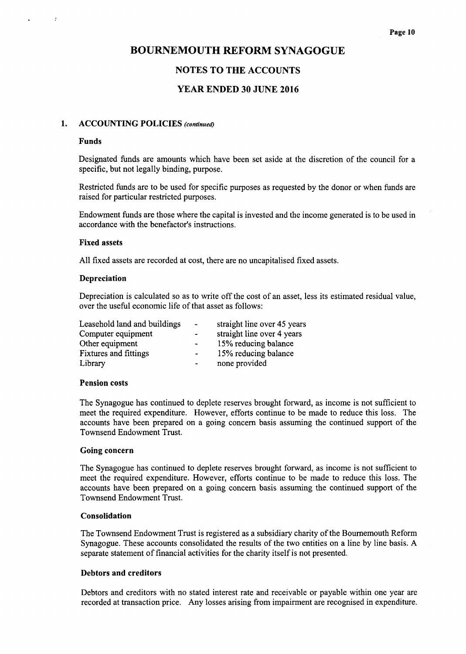# NOTES TO THE ACCOUNTS

# YEAR ENDED 30 JUNE 2016

## 1. ACCOUNTING POLICIES (continued)

#### Funds

 $\ddot{ }$ 

Designated funds are amounts which have been set aside at the discretion of the council for a specific, but not legally binding, purpose.

Restricted funds are to be used for specific purposes as requested by the donor or when funds are raised for particular restricted purposes.

Endowment funds are those where the capital is invested and the income generated is to be used in accordance with the benefactor's instructions.

#### Fixed assets

All fixed assets are recorded at cost, there are no uncapitalised fixed assets.

#### Depreciation

Depreciation is calculated so as to write off the cost of an asset, less its estimated residual value, over the useful economic life of that asset as follows:

| Leasehold land and buildings | $\overline{\phantom{a}}$ | straight line over 45 years |
|------------------------------|--------------------------|-----------------------------|
| Computer equipment           | $\overline{\phantom{0}}$ | straight line over 4 years  |
| Other equipment              | $\tilde{\phantom{a}}$    | 15% reducing balance        |
| <b>Fixtures and fittings</b> | $\blacksquare$           | 15% reducing balance        |
| Library                      | $\overline{\phantom{a}}$ | none provided               |

#### Pension costs

The Synagogue has continued to deplete reserves brought forward, as income is not sufficient to meet the required expenditure. However, efforts continue to be made to reduce this loss. The accounts have been prepared on a going concern basis assuming the continued support of the Townsend Endowment Trust.

#### Going concern

The Synagogue has continued to deplete reserves brought forward, as income is not sufficient to meet the required expenditure. However, efforts continue to be made to reduce this loss. The accounts have been prepared on a going concern basis assuming the continued support of the Townsend Endowment Trust.

# Consolidation

The Townsend Endowment Trust is registered as a subsidiary charity ofthe Bournemouth Reform Synagogue. These accounts consolidated the results of the two entities on a line by line basis. A separate statement of financial activities for the charity itself is not presented.

#### Debtors and creditors

Debtors and creditors with no stated interest rate and receivable or payable within one year are recorded at transaction price. Any losses arising from impairment are recognised in expenditure.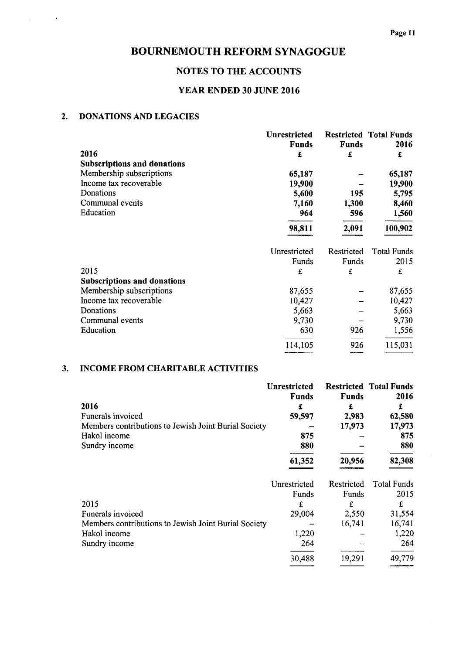# NOTES TO THE ACCOUNTS

# YEAR ENDED 30 JUNE 2016

# 2. DONATIONS AND LEGACIES

 $\sim$   $\sigma$ 

 $\overline{\phantom{a}}$ 

|                                    | Unrestricted |              | <b>Restricted Total Funds</b> |
|------------------------------------|--------------|--------------|-------------------------------|
|                                    | <b>Funds</b> | <b>Funds</b> | 2016                          |
| 2016                               | £            | £            | £                             |
| <b>Subscriptions and donations</b> |              |              |                               |
| Membership subscriptions           | 65,187       |              | 65,187                        |
| Income tax recoverable             | 19,900       |              | 19,900                        |
| Donations                          | 5,600        | 195          | 5,795                         |
| Communal events                    | 7,160        | 1,300        | 8,460                         |
| Education                          | 964          | 596          | 1,560                         |
|                                    | 98,811       | 2,091        | 100,902                       |
|                                    | Unrestricted | Restricted   | <b>Total Funds</b>            |
|                                    | Funds        | Funds        | 2015                          |
| 2015                               | £            | £            | £                             |
| <b>Subscriptions and donations</b> |              |              |                               |
| Membership subscriptions           | 87,655       |              | 87,655                        |
| Income tax recoverable             | 10,427       |              | 10,427                        |
| Donations                          | 5,663        |              | 5,663                         |
| Communal events                    | 9,730        |              | 9,730                         |
| Education                          | 630          | 926          | 1,556                         |
|                                    | 114,105      | 926          | 115,031                       |

# 3. INCOME FROM CHARITABLE ACTIVITIES

| 2016<br>Funerals invoiced<br>Members contributions to Jewish Joint Burial Society<br>Hakol income<br>Sundry income | <b>Unrestricted</b><br><b>Funds</b><br>£<br>59,597<br>875<br>880<br>61,352 | <b>Funds</b><br>£<br>2,983<br>17,973<br>20,956        | <b>Restricted Total Funds</b><br>2016<br>£<br>62,580<br>17,973<br>875<br>880<br>82,308 |
|--------------------------------------------------------------------------------------------------------------------|----------------------------------------------------------------------------|-------------------------------------------------------|----------------------------------------------------------------------------------------|
| 2015<br>Funerals invoiced<br>Members contributions to Jewish Joint Burial Society<br>Hakol income<br>Sundry income | Unrestricted<br>Funds<br>£<br>29,004<br>1,220<br>264<br>30,488             | Restricted<br>Funds<br>£<br>2,550<br>16.741<br>19,291 | <b>Total Funds</b><br>2015<br>£<br>31,554<br>16,741<br>1,220<br>264<br>49,779          |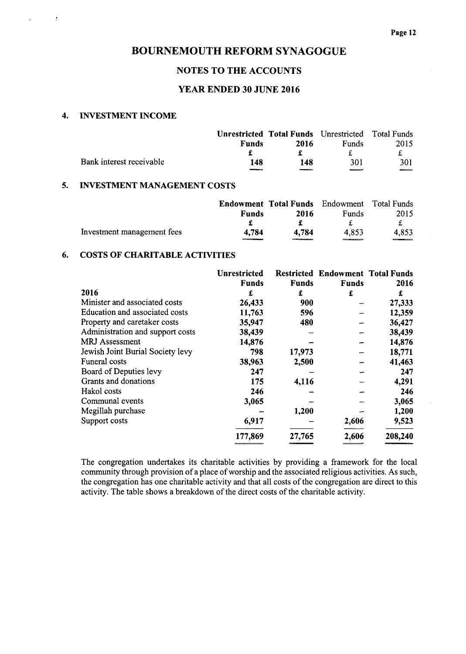#### NOTES TO THE ACCOUNTS

## YEAR ENDED 30 JUNE 2016

### 4. INVESTMENT INCOME

 $\sim$  1.

 $\mathcal{L}^{\pm}$ 

|                          |              | <b>Unrestricted Total Funds</b> Unrestricted Total Funds |                  |      |
|--------------------------|--------------|----------------------------------------------------------|------------------|------|
|                          | <b>Funds</b> | 2016                                                     | <b>Funds</b>     | 2015 |
|                          |              |                                                          |                  |      |
| Bank interest receivable | 148          | 148                                                      | 301              | 301  |
|                          |              |                                                          | <b>Programme</b> | $-$  |

# 5. INVESTMENT MANAGEMENT COSTS

|                            |               | <b>Endowment Total Funds</b> Endowment Total Funds |                   |       |
|----------------------------|---------------|----------------------------------------------------|-------------------|-------|
|                            | Funds         | 2016                                               | Funds             | 2015  |
|                            |               |                                                    |                   |       |
| Investment management fees | 4.784<br>____ | 4.784<br>________                                  | 4.853<br>________ | 4,853 |

# 6. COSTS OF CHARITABLE ACTIVITIES

|                                  | <b>Unrestricted</b> |              | <b>Restricted Endowment Total Funds</b> |         |
|----------------------------------|---------------------|--------------|-----------------------------------------|---------|
|                                  | Funds               | <b>Funds</b> | <b>Funds</b>                            | 2016    |
| 2016                             | £                   | £            | £                                       | £       |
| Minister and associated costs    | 26,433              | 900          |                                         | 27,333  |
| Education and associated costs   | 11,763              | 596          |                                         | 12,359  |
| Property and caretaker costs     | 35,947              | 480          |                                         | 36,427  |
| Administration and support costs | 38,439              |              |                                         | 38,439  |
| <b>MRJ</b> Assessment            | 14,876              |              |                                         | 14,876  |
| Jewish Joint Burial Society levy | 798                 | 17,973       |                                         | 18,771  |
| Funeral costs                    | 38,963              | 2,500        |                                         | 41,463  |
| Board of Deputies levy           | 247                 |              |                                         | 247     |
| Grants and donations             | 175                 | 4,116        |                                         | 4,291   |
| Hakol costs                      | 246                 |              |                                         | 246     |
| Communal events                  | 3,065               |              |                                         | 3,065   |
| Megillah purchase                |                     | 1,200        |                                         | 1,200   |
| Support costs                    | 6,917               |              | 2,606                                   | 9,523   |
|                                  | 177,869             | 27,765       | 2,606                                   | 208,240 |

The congregation undertakes its charitable activities by providing a framework for the local community through provision of a place of worship and the associated religious activities. As such, the congregation has one charitable activity and that all costs ofthe congregation are direct to this activity. The table shows a breakdown of the direct costs of the charitable activity.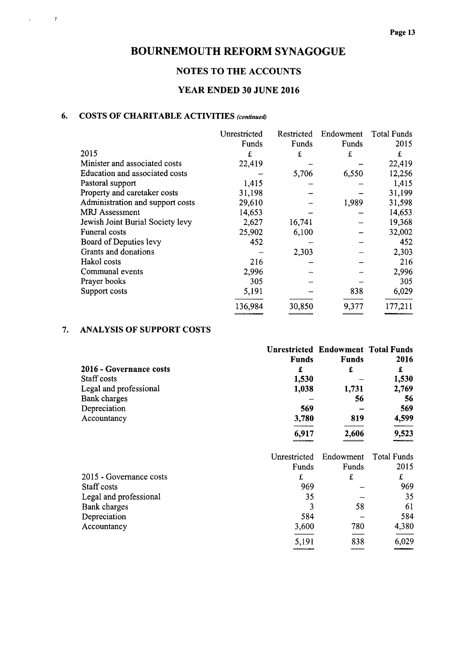# NOTES TO THE ACCOUNTS

# YEAR ENDED 30 JUNE 2016

# 6. COSTS OF CHARITABLE ACTIVITIES (continued)

 $\sim$  1

|                                  | Unrestricted | Restricted | Endowment | <b>Total Funds</b> |
|----------------------------------|--------------|------------|-----------|--------------------|
|                                  | Funds        | Funds      | Funds     | 2015               |
| 2015                             | £            | £          | £         | £                  |
| Minister and associated costs    | 22,419       |            |           | 22,419             |
| Education and associated costs   |              | 5,706      | 6,550     | 12,256             |
| Pastoral support                 | 1,415        |            |           | 1,415              |
| Property and caretaker costs     | 31,198       |            |           | 31,199             |
| Administration and support costs | 29,610       |            | 1,989     | 31,598             |
| <b>MRJ</b> Assessment            | 14,653       |            |           | 14,653             |
| Jewish Joint Burial Society levy | 2,627        | 16,741     |           | 19,368             |
| <b>Funeral costs</b>             | 25,902       | 6,100      |           | 32,002             |
| Board of Deputies levy           | 452          |            |           | 452                |
| Grants and donations             |              | 2,303      |           | 2,303              |
| Hakol costs                      | 216          |            |           | 216                |
| Communal events                  | 2,996        |            |           | 2,996              |
| Prayer books                     | 305          |            |           | 305                |
| Support costs                    | 5,191        |            | 838       | 6,029              |
|                                  | 136,984      | 30,850     | 9,377     | 177,211            |

# 7. ANALYSIS OF SUPPORT COSTS

|                         | <b>Unrestricted Endowment Total Funds</b> |              |                    |
|-------------------------|-------------------------------------------|--------------|--------------------|
|                         | <b>Funds</b>                              | <b>Funds</b> | 2016               |
| 2016 - Governance costs | £                                         | £            | £                  |
| Staff costs             | 1,530                                     |              | 1,530              |
| Legal and professional  | 1,038                                     | 1,731        | 2,769              |
| Bank charges            |                                           | 56           | 56                 |
| Depreciation            | 569                                       |              | 569                |
| Accountancy             | 3,780                                     | 819          | 4,599              |
|                         | 6,917                                     | 2,606        | 9,523              |
|                         | Unrestricted                              | Endowment    | <b>Total Funds</b> |
|                         | Funds                                     | Funds        | 2015               |
| 2015 - Governance costs | £                                         | £            | £                  |
| Staff costs             | 969                                       |              | 969                |
| Legal and professional  | 35                                        |              | 35                 |
| Bank charges            | 3                                         | 58           | 61                 |
| Depreciation            | 584                                       |              | 584                |
| Accountancy             | 3,600                                     | 780          | 4,380              |
|                         |                                           |              |                    |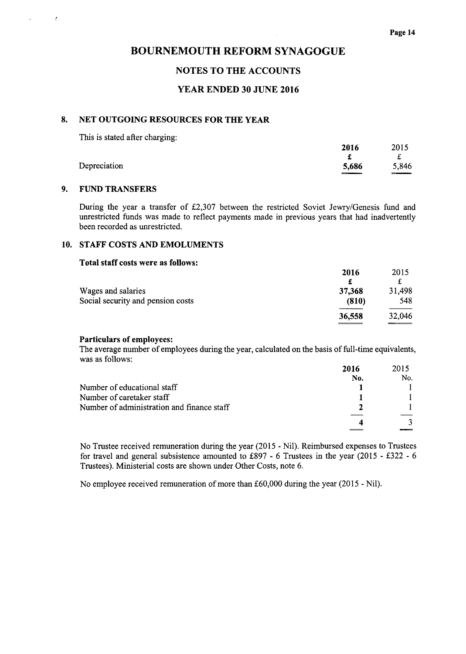### NOTES TO THE ACCOUNTS

#### YEAR ENDED 30 JUNE 2016

#### 8. NET OUTGOING RESOURCES FOR THE YEAR

This is stated after charging:

|              | 2016     | 2015         |
|--------------|----------|--------------|
|              |          |              |
| Depreciation | 5,686    | 5,846        |
|              | $\cdots$ | <b>THEFT</b> |

#### 9. FUND TRANSFERS

 $\mathcal{L}$ 

 $\cdot$ 

During the year a transfer of £2,307 between the restricted Soviet Jewry/Genesis fund and unrestricted funds was made to reflect payments made in previous years that had inadvertently been recorded as unrestricted.

#### 10. STAFF COSTS AND EMOLUMENTS

#### Total staff costs were as follows:

|                                   | 2016   | 2015   |
|-----------------------------------|--------|--------|
|                                   |        |        |
| Wages and salaries                | 37,368 | 31,498 |
| Social security and pension costs | (810)  | 548    |
|                                   | 36,558 | 32,046 |
|                                   |        |        |

#### Particulars of employees:

The average number of employees during the year, calculated on the basis of full-time equivalents, was as follows:

|                                            | 2016 | 2015 |
|--------------------------------------------|------|------|
|                                            | No.  | No.  |
| Number of educational staff                |      |      |
| Number of caretaker staff                  |      |      |
| Number of administration and finance staff |      |      |
|                                            | Δ    |      |

No Trustee received remuneration during the year (2015 - Nil). Reimbursed expenses to Trustees for travel and general subsistence amounted to £897 - 6 Trustees in the year (2015 - £322 - 6 Trustees). Ministerial costs are shown under Other Costs, note 6.

No employee received remuneration of more than £60,000 during the year (2015 - Nil).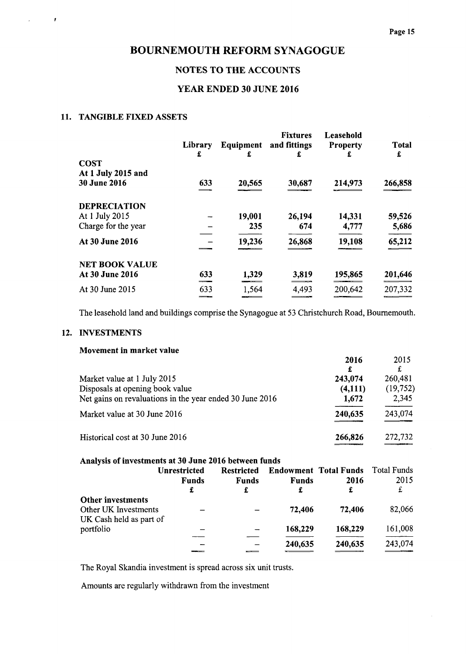# NOTES TO THE ACCOUNTS

### YEAR ENDED 30 JUNE 2016

### 11. TANGIBLE FIXED ASSETS

ł

|                       | Library<br>£ | Equipment<br>£ | <b>Fixtures</b><br>and fittings | Leasehold<br><b>Property</b> | <b>Total</b><br>£ |
|-----------------------|--------------|----------------|---------------------------------|------------------------------|-------------------|
| <b>COST</b>           |              |                |                                 |                              |                   |
| At 1 July 2015 and    |              |                |                                 |                              |                   |
| <b>30 June 2016</b>   | 633          | 20,565         | 30,687                          | 214,973                      | 266,858           |
|                       |              |                |                                 |                              |                   |
| <b>DEPRECIATION</b>   |              |                |                                 |                              |                   |
| At 1 July 2015        |              | 19,001         | 26,194                          | 14,331                       | 59,526            |
| Charge for the year   |              | 235            | 674                             | 4,777                        | 5,686             |
| At 30 June 2016       |              | 19,236         | 26,868                          | 19,108                       |                   |
|                       |              |                |                                 |                              | 65,212            |
| <b>NET BOOK VALUE</b> |              |                |                                 |                              |                   |
| At 30 June 2016       | 633          | 1,329          | 3,819                           | 195,865                      | 201,646           |
| At 30 June 2015       | 633          | 1,564          | 4,493                           | 200,642                      | 207,332           |
|                       |              |                |                                 |                              |                   |

The leasehold land and buildings comprise the Synagogue at 53 Christchurch Road, Bournemouth.

#### 12. INVESTMENTS

|                                                                                                                            | 2016<br>£                   | 2015                         |
|----------------------------------------------------------------------------------------------------------------------------|-----------------------------|------------------------------|
| Market value at 1 July 2015<br>Disposals at opening book value<br>Net gains on revaluations in the year ended 30 June 2016 | 243,074<br>(4,111)<br>1,672 | 260,481<br>(19,752)<br>2,345 |
| Market value at 30 June 2016                                                                                               | 240,635                     | 243,074                      |
| Historical cost at 30 June 2016                                                                                            | 266,826                     | 272,732                      |

| Analysis of investments at 30 June 2016 between funds |  |  |  |
|-------------------------------------------------------|--|--|--|
|                                                       |  |  |  |

|                                           | <b>Unrestricted</b><br><b>Funds</b><br>£ | <b>Restricted</b><br><b>Funds</b><br>£ | <b>Funds</b><br>£ | <b>Endowment Total Funds</b><br>2016<br>£ | Total Funds<br>2015<br>£ |
|-------------------------------------------|------------------------------------------|----------------------------------------|-------------------|-------------------------------------------|--------------------------|
| Other investments<br>Other UK Investments |                                          |                                        | 72,406            | 72,406                                    | 82,066                   |
| UK Cash held as part of                   |                                          |                                        |                   |                                           |                          |
| portfolio                                 |                                          |                                        | 168,229           | 168,229                                   | 161,008                  |
|                                           |                                          |                                        | 240,635           | 240,635                                   | 243,074                  |

The Royal Skandia investment is spread across six unit trusts.

Amounts are regularly withdrawn from the investment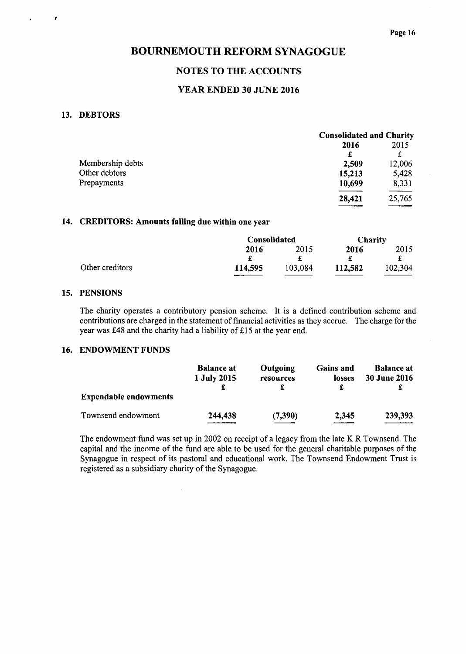## NOTES TO THE ACCOUNTS

## YEAR ENDED 30 JUNE 2016

#### 13. DEBTORS

 $\bullet$ 

| 2016   |                                                                                                                                                                                                                                                            |
|--------|------------------------------------------------------------------------------------------------------------------------------------------------------------------------------------------------------------------------------------------------------------|
|        | 2015                                                                                                                                                                                                                                                       |
| £      | £                                                                                                                                                                                                                                                          |
| 2,509  | 12,006                                                                                                                                                                                                                                                     |
| 15,213 | 5,428                                                                                                                                                                                                                                                      |
| 10,699 | 8,331                                                                                                                                                                                                                                                      |
| 28,421 | 25,765<br><b><i><u>Property Contract Contract Contract Contract Contract Contract Contract Contract Contract Contract Contract Contract Contract Contract Contract Contract Contract Contract Contract Contract Contract Contract Contract Con</u></i></b> |
|        | ________                                                                                                                                                                                                                                                   |

### 14. CREDITORS: Amounts falling due within one year

 $\hat{\boldsymbol{\beta}}$ 

|                 | <b>Consolidated</b> |         | <b>Charity</b> |         |
|-----------------|---------------------|---------|----------------|---------|
|                 | 2016                | 2015    | 2016           | 2015    |
|                 |                     |         |                |         |
| Other creditors | 114,595             | 103,084 | 112,582        | 102,304 |
|                 |                     |         |                |         |

#### 15. PENSIONS

The charity operates a contributory pension scheme. It is a defined contribution scheme and contributions are charged in the statement of financial activities as they accrue. The charge for the year was  $£48$  and the charity had a liability of £15 at the year end.

#### 16. ENDOWMENT FUNDS

|                              | <b>Balance at</b><br>1 July 2015 | Outgoing<br>resources | <b>Gains and</b><br>losses | <b>Balance at</b><br><b>30 June 2016</b> |
|------------------------------|----------------------------------|-----------------------|----------------------------|------------------------------------------|
| <b>Expendable endowments</b> |                                  |                       |                            |                                          |
| Townsend endowment           | 244,438                          | (7,390)               | 2,345<br>-------           | 239,393                                  |

The endowment fund was set up in 2002 on receipt of a legacy from the late K R Townsend. The capital and the income of the fund are able to be used for the general charitable purposes of the Synagogue in respect of its pastoral and educational work. The Townsend Endowment Trust is registered as a subsidiary charity of the Synagogue.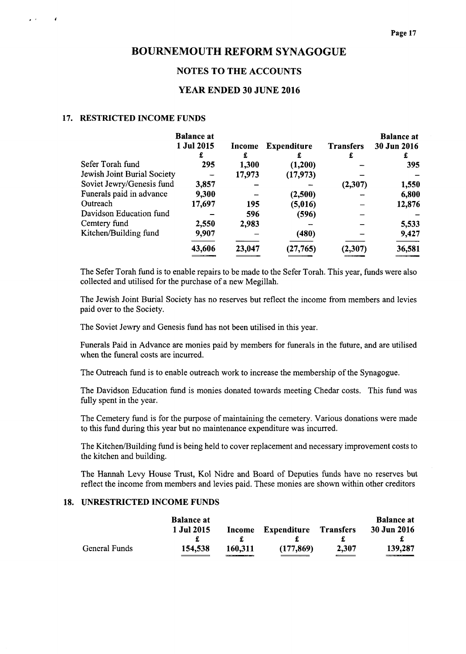### NOTES TO THE ACCOUNTS

# YEAR ENDED 30 JUNE 2016

#### 17. RESTRICTED INCOME FUNDS

 $\mathbf{z} = \mathbf{0}$ 

 $\lambda$ 

|                             | <b>Balance</b> at |        |                    |                  | <b>Balance at</b> |
|-----------------------------|-------------------|--------|--------------------|------------------|-------------------|
|                             | 1 Jul 2015        | Income | <b>Expenditure</b> | <b>Transfers</b> | 30 Jun 2016       |
|                             | £                 | £      |                    | £                |                   |
| Sefer Torah fund            | 295               | 1,300  | (1,200)            |                  | 395               |
| Jewish Joint Burial Society |                   | 17,973 | (17, 973)          |                  |                   |
| Soviet Jewry/Genesis fund   | 3,857             |        |                    | (2,307)          | 1,550             |
| Funerals paid in advance    | 9,300             |        | (2,500)            |                  | 6,800             |
| Outreach                    | 17,697            | 195    | (5,016)            |                  | 12,876            |
| Davidson Education fund     |                   | 596    | (596)              |                  |                   |
| Cemtery fund                | 2,550             | 2,983  |                    |                  | 5,533             |
| Kitchen/Building fund       | 9,907             |        | (480)              |                  | 9,427             |
|                             | 43,606            | 23,047 | (27, 765)          | (2,307)          | 36,581            |
|                             |                   |        |                    |                  |                   |

The Sefer Torah fund is to enable repairs to be made to the Sefer Torah. This year, funds were also collected and utilised for the purchase of a new Megillah.

The Jewish Joint Burial Society has no reserves but reflect the income from members and levies paid over to the Society.

The Soviet Jewry and Genesis fund has not been utilised in this year.

Funerals Paid in Advance are monies paid by members for funerals in the future, and are utilised when the funeral costs are incurred.

The Outreach fund is to enable outreach work to increase the membership of the Synagogue.

The Davidson Education fund is monies donated towards meeting Chedar costs. This fund was fully spent in the year.

The Cemetery fund is for the purpose of maintaining the cemetery. Various donations were made to this fund during this year but no maintenance expenditure was incurred.

The Kitchen/Building fund is being held to cover replacement and necessary improvement costs to the kitchen and building.

The Hannah Levy House Trust, Kol Nidre and Board of Deputies funds have no reserves but reflect the income from members and levies paid. These monies are shown within other creditors

### 18. UNRESTRICTED INCOME FUNDS

| <b>30 Jun 2016</b> |
|--------------------|
|                    |
| 139,287            |
|                    |